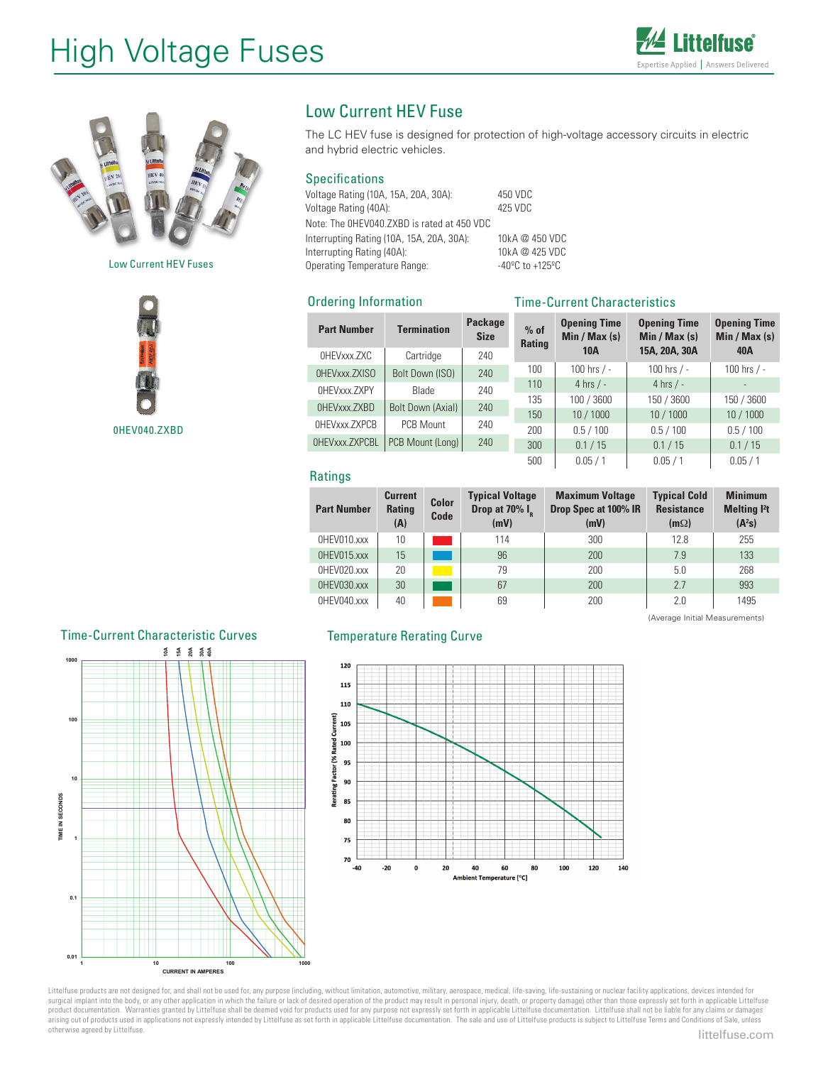# High Voltage Fuses





Low Current HEV Fuses



# Low Current HEV Fuse

The LC HEV fuse is designed for protection of high-voltage accessory circuits in electric and hybrid electric vehicles.

## Specifications

Ordering Information

Voltage Rating (10A, 15A, 20A, 30A): 450 VDC Voltage Rating (40A): Note: The 0HEV040.ZXBD is rated at 450 VDC Interrupting Rating (10A, 15A, 20A, 30A): 10kA @ 450 VDC Interrupting Rating (40A): 10kA @ 425 VDC<br>
Operating Temperature Range: 40°C to +125°C Operating Temperature Range:

# Time-Current Characteristics

| <b>Part Number</b> | <b>Termination</b> | <b>Package</b><br><b>Size</b> | $%$ of<br><b>Rating</b> | <b>Opening Time</b><br>Min / Max $(s)$<br><b>10A</b> | <b>Opening Time</b><br>Min / Max $(s)$<br>15A, 20A, 30A | <b>Opening Time</b><br>Min / Max(s)<br>40A |  |
|--------------------|--------------------|-------------------------------|-------------------------|------------------------------------------------------|---------------------------------------------------------|--------------------------------------------|--|
| OHEVxxx.ZXC        | Cartridge          | 240                           |                         |                                                      |                                                         |                                            |  |
| OHEVxxx.ZXISO      | Bolt Down (ISO)    | 240                           | 100                     | 100 hrs $/ -$                                        | 100 hrs $/ -$                                           | 100 hrs / -                                |  |
| OHEVxxx.ZXPY       | <b>Blade</b>       | 240                           | 110                     | 4 hrs $/ -$                                          | 4 hrs $/ -$                                             |                                            |  |
| OHEVxxx.ZXBD       |                    | 240<br>240                    | 135                     | 100 / 3600                                           | 150 / 3600                                              | 150 / 3600                                 |  |
|                    | Bolt Down (Axial)  |                               | 150                     | 10 / 1000                                            | 10/1000                                                 | 10 / 1000                                  |  |
| OHEVxxx.ZXPCB      | PCB Mount          |                               | 200                     | 0.5 / 100                                            | 0.5 / 100                                               | 0.5 / 100                                  |  |
| OHEVxxx.ZXPCBL     | PCB Mount (Long)   | 240                           | 300                     | 0.1 / 15                                             | 0.1 / 15                                                | 0.1 / 15                                   |  |
|                    |                    |                               | 500                     | 0.05/1                                               | 0.05/1                                                  | 0.05/1                                     |  |

#### **Ratings**

| <b>Part Number</b> | <b>Current</b><br><b>Rating</b><br>(A) | <b>Color</b><br>Code | <b>Typical Voltage</b><br>Drop at 70% I <sub>p</sub><br>(mV) | <b>Maximum Voltage</b><br>Drop Spec at 100% IR<br>(mV) | <b>Typical Cold</b><br><b>Resistance</b><br>$(m\Omega)$ | <b>Minimum</b><br><b>Melting l<sup>2</sup>t</b><br>$(A^2s)$ |
|--------------------|----------------------------------------|----------------------|--------------------------------------------------------------|--------------------------------------------------------|---------------------------------------------------------|-------------------------------------------------------------|
| OHEVO10.xxx        | 10                                     |                      | 114                                                          | 300                                                    | 12.8                                                    | 255                                                         |
| OHEV015.xxx        | 15                                     |                      | 96                                                           | 200                                                    | 7.9                                                     | 133                                                         |
| OHEVO20.xxx        | 20                                     |                      | 79                                                           | 200                                                    | 5.0                                                     | 268                                                         |
| OHEV030.xxx        | 30                                     |                      | 67                                                           | 200                                                    | 2.7                                                     | 993                                                         |
| OHEVO40.xxx        | 40                                     |                      | 69                                                           | 200                                                    | 2.0                                                     | 1495                                                        |

# Temperature Rerating Curve

(Average Initial Measurements)





Littelfuse products are not designed for, and shall not be used for, any purpose (including, without limitation, automotive, military, aerospace, medical, life-saving, life-sustaining or nuclear facility applications, devi surgical implant into the body, or any other application in which the failure or lack of desired operation of the product may result in personal injury, death, or property damage) other than those expressly set forth in ap product documentation. Warranties granted by Littelfuse shall be deemed void for products used for any purpose not expressly set forth in applicable Littelfuse documentation. Littelfuse shall not be liable for any claims o otherwise agreed by Littelfuse.<br> **littelfuse.com**